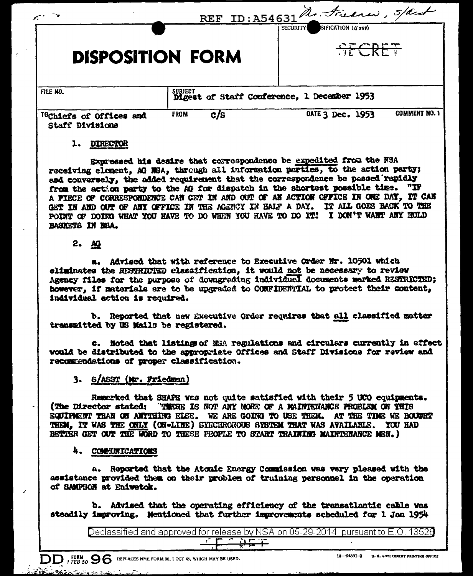| $\mathcal{E}^{\mathcal{E}}$                            | REF ID: A54631 R. Friend, Stack |                                                  |
|--------------------------------------------------------|---------------------------------|--------------------------------------------------|
| <b>DISPOSITION FORM</b>                                |                                 | SIFICATION (If any)<br><b>SECURITY</b><br>SECRET |
| FILE NO.                                               |                                 | SUBJECT tof Staff Conference, 1 December 1953    |
| <sup>10</sup> Chiefs of Offices and<br>Staff Divisions | <b>FROM</b><br>c/s              | <b>COMMENT NO. 1</b><br>DATE 3 Dec. 1953         |

#### 1. DIRECTOR

Expressed his desire that correspondence be expedited from the NBA receiving element, AG NSA, through all information parties, to the action party; and conversely, the added requirement that the correspondence be passed rapidly from the action party to the AG for dispatch in the shortest possible time. "IF A PIECE OF CORRESPONDENCE CAN GET IN AND OUT OF AN ACTION OFFICE IN ONE DAY, IT CAN GET IN AND OUT OF ANY OFFICE IN THE AGENCY IN HALF A DAY. IT ALL GOES BACK TO THE POINT OF DOING WHAT YOU HAVE TO DO WHEN YOU HAVE TO DO IT! I DON'T WANT ANY HOLD BASKETS IN NBA.

## $2. \quad \text{AG}$

a. Advised that with reference to Executive Order Nr. 10501 which eliminates the RESTRICTED classification. it would not be necessary to review Agency files for the purpose of downgrading individual documents marked RESTRICTED; however, if materials are to be upgraded to CONFIDENTIAL to protect their content. individual action is required.

b. Reported that new Executive Order requires that all classified matter transmitted by US Mails be registered.

c. Noted that listings of NSA regulations and circulars currently in effect would be distributed to the appropriate Offices and Staff Divisions for raview and recommendations of proper classification.

#### 3. S/ASST (Mr. Friedman)

Remarked that SHAFE was not quite satisfied with their 5 UCO equipments. (The Director stated: "THERE IS NOT ANY NORE OF A MAINTENANCE PROBLEM ON THIS EQUIPMENT THAN ON ANYTHING ELSE. WE ARE GOING TO USE THEM. AT THE TIME WE BOUNKT THEM. IT WAS THE ONLY (ON-LINE) SYNCHRONOUS SYSTEM THAT WAS AVAILABLE. YOU HAD BETTER GET OUT THE WORD TO THESE FEOPLE TO START TRAINING MAINTENANCE MEN.)

#### 4. COMMUNICATIONS

a. Reported that the Atomic Energy Commission was very pleased with the assistance provided them on their problem of truining personnel in the operation of SAMPSON at Eniverok.

b. Advised that the operating efficiency of the transatlantic cable was steadily improving. Mentioned that further improvements scheduled for 1 Jan 1954

Declassified and approved for release by NSA on 05-29-2014 pursuant to E.O. 13526  $25 +$ 

 $\text{DD}$ , FORM  $_{950}$  O G replaces nme form 96, 1 oct 48, which may be used.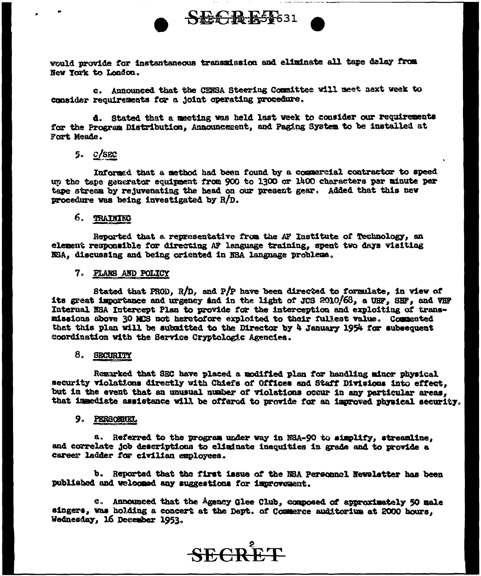

would provide for instantaneous transmission and eliminate all tape delay from New York to London.

c. Announced that the CENSA Steering Committee will meet next week to consider requirements for a joint operating procedure.

d. Stated that a meeting was held last week to consider our requirements for the Program Distribution, Announcement, and Paging System to be installed at Fort Meade.

# $5.$   $C/SEC$

Informed that a method had been found by a commercial contractor to speed up the tape generator equipment from 900 to 1300 or 1400 characters per minute per tape stream by rejuvenating the head on our present gear. Added that this new procedure was being investigated by  $R/D$ .

## 6. TRAINING

Reported that a representative from the AF Institute of Technology, an element responsible for directing AF language training, spent two days visiting NSA, discussing and being oriented in NSA language problems.

#### 7. PLANS AND POLICY

Stated that PROD, R/D, and P/P have been directed to formulate, in view of its great importance and urgency and in the light of JCS 2010/68, a UHF, SHF, and VHF Internal NSA Intercept Plan to provide for the interception and exploiting of transmissions above 30 MCS not heretofore exploited to their fullest value. Commented that this plan will be submitted to the Director by 4 January 1954 for subsequent coordination with the Service Cryptologic Agencies.

## 8. SECURITY

Remarked that SEC have placed a modified plan for handling minor physical security violations directly with Chiefs of Offices and Staff Divisions into effect. but in the event that an unusual number of violations occur in any particular areas. that immediate assistance will be offered to provide for an improved physical security.

#### 9. PERSONIKI

a. Referred to the program under way in NSA-90 to simplify, streamline, and correlate job descriptions to eliminate inequities in grade and to provide a career ladder for civilian employees.

b. Reported that the first issue of the NSA Personnel Newsletter has been published and welcomed any suggestions for immovement.

c. Announced that the Agency Glee Club, composed of approximately 50 male singers, was holding a concert at the Dept. of Commerce auditorium at 2000 hours. Wednesday, 16 December 1953.